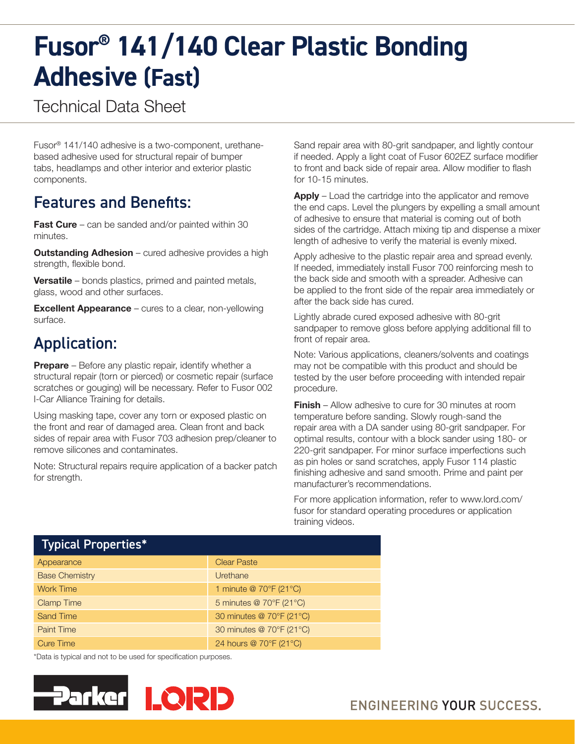# **Fusor® 141/140 Clear Plastic Bonding Adhesive (Fast)**

Technical Data Sheet

Fusor® 141/140 adhesive is a two-component, urethanebased adhesive used for structural repair of bumper tabs, headlamps and other interior and exterior plastic components.

### Features and Benefits:

**Fast Cure** – can be sanded and/or painted within 30 minutes.

**Outstanding Adhesion** – cured adhesive provides a high strength, flexible bond.

Versatile – bonds plastics, primed and painted metals, glass, wood and other surfaces.

**Excellent Appearance** – cures to a clear, non-yellowing surface.

## Application:

**Prepare** – Before any plastic repair, identify whether a structural repair (torn or pierced) or cosmetic repair (surface scratches or gouging) will be necessary. Refer to Fusor 002 I-Car Alliance Training for details.

Using masking tape, cover any torn or exposed plastic on the front and rear of damaged area. Clean front and back sides of repair area with Fusor 703 adhesion prep/cleaner to remove silicones and contaminates.

Note: Structural repairs require application of a backer patch for strength.

Sand repair area with 80-grit sandpaper, and lightly contour if needed. Apply a light coat of Fusor 602EZ surface modifier to front and back side of repair area. Allow modifier to flash for 10-15 minutes.

Apply – Load the cartridge into the applicator and remove the end caps. Level the plungers by expelling a small amount of adhesive to ensure that material is coming out of both sides of the cartridge. Attach mixing tip and dispense a mixer length of adhesive to verify the material is evenly mixed.

Apply adhesive to the plastic repair area and spread evenly. If needed, immediately install Fusor 700 reinforcing mesh to the back side and smooth with a spreader. Adhesive can be applied to the front side of the repair area immediately or after the back side has cured.

Lightly abrade cured exposed adhesive with 80-grit sandpaper to remove gloss before applying additional fill to front of repair area.

Note: Various applications, cleaners/solvents and coatings may not be compatible with this product and should be tested by the user before proceeding with intended repair procedure.

**Finish** – Allow adhesive to cure for 30 minutes at room temperature before sanding. Slowly rough-sand the repair area with a DA sander using 80-grit sandpaper. For optimal results, contour with a block sander using 180- or 220-grit sandpaper. For minor surface imperfections such as pin holes or sand scratches, apply Fusor 114 plastic finishing adhesive and sand smooth. Prime and paint per manufacturer's recommendations.

For more application information, refer to www.lord.com/ fusor for standard operating procedures or application training videos.

| <b>Typical Properties*</b> |                          |
|----------------------------|--------------------------|
| Appearance                 | <b>Clear Paste</b>       |
| <b>Base Chemistry</b>      | Urethane                 |
| <b>Work Time</b>           | 1 minute @ 70°F (21°C)   |
| <b>Clamp Time</b>          | 5 minutes @ 70°F (21°C)  |
| <b>Sand Time</b>           | 30 minutes @ 70°F (21°C) |
| <b>Paint Time</b>          | 30 minutes @ 70°F (21°C) |
| <b>Cure Time</b>           | 24 hours @ 70°F (21°C)   |

\*Data is typical and not to be used for specification purposes.